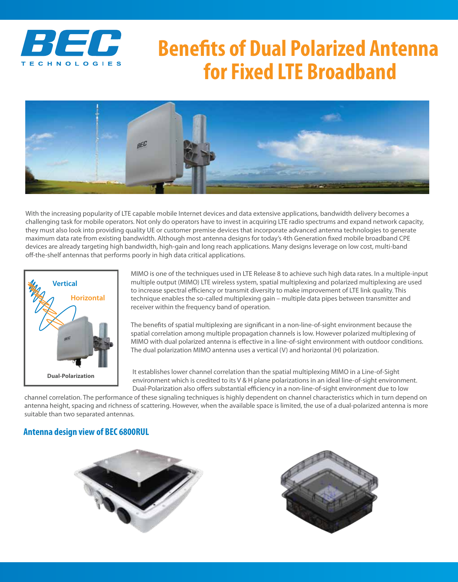

## **Benefits of Dual Polarized Antenna for Fixed LTE Broadband**



With the increasing popularity of LTE capable mobile Internet devices and data extensive applications, bandwidth delivery becomes a challenging task for mobile operators. Not only do operators have to invest in acquiring LTE radio spectrums and expand network capacity, they must also look into providing quality UE or customer premise devices that incorporate advanced antenna technologies to generate maximum data rate from existing bandwidth. Although most antenna designs for today's 4th Generation fixed mobile broadband CPE devices are already targeting high bandwidth, high-gain and long reach applications. Many designs leverage on low cost, multi-band off-the-shelf antennas that performs poorly in high data critical applications.



MIMO is one of the techniques used in LTE Release 8 to achieve such high data rates. In a multiple-input multiple output (MIMO) LTE wireless system, spatial multiplexing and polarized multiplexing are used to increase spectral efficiency or transmit diversity to make improvement of LTE link quality. This technique enables the so-called multiplexing gain – multiple data pipes between transmitter and receiver within the frequency band of operation.

The benefits of spatial multiplexing are significant in a non-line-of-sight environment because the spatial correlation among multiple propagation channels is low. However polarized multiplexing of MIMO with dual polarized antenna is effective in a line-of-sight environment with outdoor conditions. The dual polarization MIMO antenna uses a vertical (V) and horizontal (H) polarization.

It establishes lower channel correlation than the spatial multiplexing MIMO in a Line-of-Sight environment which is credited to its V & H plane polarizations in an ideal line-of-sight environment. Dual-Polarization also offers substantial efficiency in a non-line-of-sight environment due to low

channel correlation. The performance of these signaling techniques is highly dependent on channel characteristics which in turn depend on antenna height, spacing and richness of scattering. However, when the available space is limited, the use of a dual-polarized antenna is more suitable than two separated antennas.

## **Antenna design view of BEC 6800RUL**